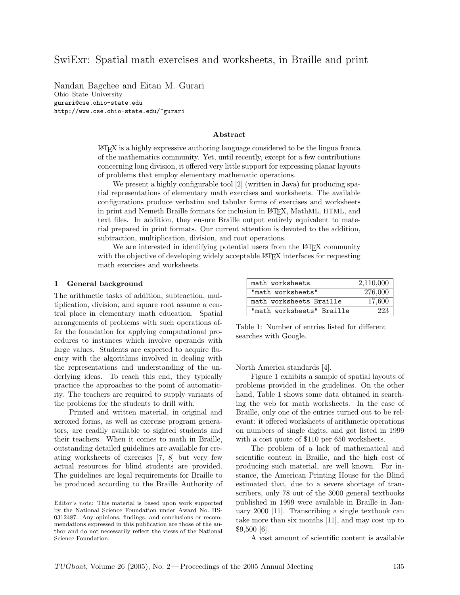# SwiExr: Spatial math exercises and worksheets, in Braille and print

Nandan Bagchee and Eitan M. Gurari Ohio State University gurari@cse.ohio-state.edu http://www.cse.ohio-state.edu/~gurari

#### Abstract

 $E\text{Tr}X$  is a highly expressive authoring language considered to be the lingua franca of the mathematics community. Yet, until recently, except for a few contributions concerning long division, it offered very little support for expressing planar layouts of problems that employ elementary mathematic operations.

We present a highly configurable tool [2] (written in Java) for producing spatial representations of elementary math exercises and worksheets. The available configurations produce verbatim and tabular forms of exercises and worksheets in print and Nemeth Braille formats for inclusion in LATEX, MathML, HTML, and text files. In addition, they ensure Braille output entirely equivalent to material prepared in print formats. Our current attention is devoted to the addition, subtraction, multiplication, division, and root operations.

We are interested in identifying potential users from the LAT<sub>E</sub>X community with the objective of developing widely acceptable LAT<sub>EX</sub> interfaces for requesting math exercises and worksheets.

#### 1 General background

The arithmetic tasks of addition, subtraction, multiplication, division, and square root assume a central place in elementary math education. Spatial arrangements of problems with such operations offer the foundation for applying computational procedures to instances which involve operands with large values. Students are expected to acquire fluency with the algorithms involved in dealing with the representations and understanding of the underlying ideas. To reach this end, they typically practice the approaches to the point of automaticity. The teachers are required to supply variants of the problems for the students to drill with.

Printed and written material, in original and xeroxed forms, as well as exercise program generators, are readily available to sighted students and their teachers. When it comes to math in Braille, outstanding detailed guidelines are available for creating worksheets of exercises [7, 8] but very few actual resources for blind students are provided. The guidelines are legal requirements for Braille to be produced according to the Braille Authority of

| math worksheets           | 2,110,000 |
|---------------------------|-----------|
| "math worksheets"         | 276,000   |
| math worksheets Braille   | 17,600    |
| "math worksheets" Braille | 223       |

Table 1: Number of entries listed for different searches with Google.

North America standards [4].

Figure 1 exhibits a sample of spatial layouts of problems provided in the guidelines. On the other hand, Table 1 shows some data obtained in searching the web for math worksheets. In the case of Braille, only one of the entries turned out to be relevant: it offered worksheets of arithmetic operations on numbers of single digits, and got listed in 1999 with a cost quote of \$110 per 650 worksheets.

The problem of a lack of mathematical and scientific content in Braille, and the high cost of producing such material, are well known. For instance, the American Printing House for the Blind estimated that, due to a severe shortage of transcribers, only 78 out of the 3000 general textbooks published in 1999 were available in Braille in January 2000 [11]. Transcribing a single textbook can take more than six months [11], and may cost up to \$9,500 [6].

A vast amount of scientific content is available

Editor's note: This material is based upon work supported by the National Science Foundation under Award No. IIS-0312487. Any opinions, findings, and conclusions or recommendations expressed in this publication are those of the author and do not necessarily reflect the views of the National Science Foundation.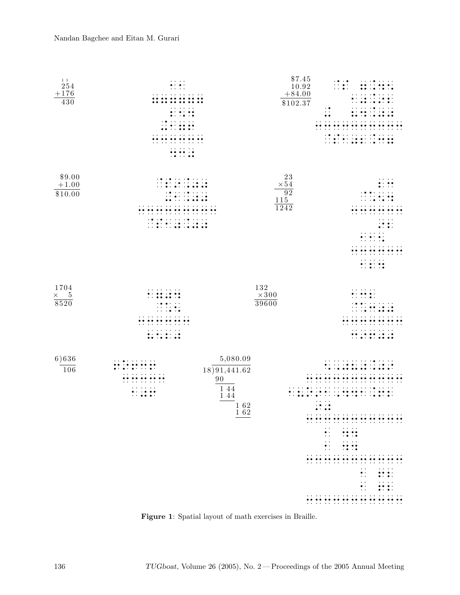

Figure 1: Spatial layout of math exercises in Braille.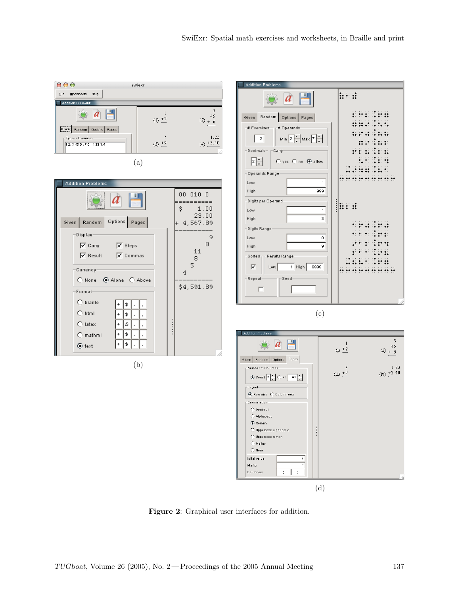

Figure 2: Graphical user interfaces for addition.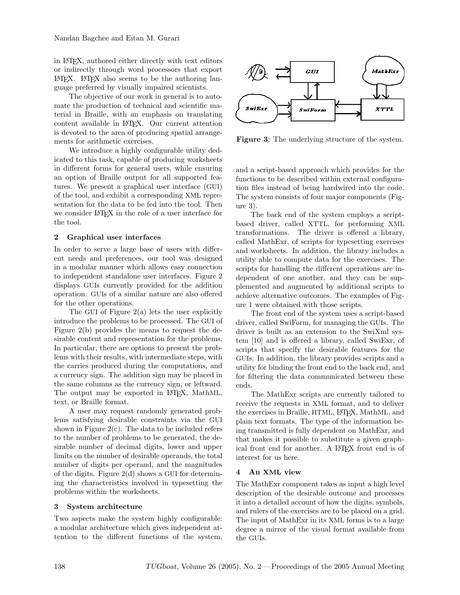in LATEX, authored either directly with text editors or indirectly through word processors that export LATEX. LATEX also seems to be the authoring language preferred by visually impaired scientists.

The objective of our work in general is to automate the production of technical and scientific material in Braille, with an emphasis on translating content available in LATEX. Our current attention is devoted to the area of producing spatial arrangements for arithmetic exercises.

We introduce a highly configurable utility dedicated to this task, capable of producing worksheets in different forms for general users, while ensuring an option of Braille output for all supported features. We present a graphical user interface (GUI) of the tool, and exhibit a corresponding XML representation for the data to be fed into the tool. Then we consider LAT<sub>EX</sub> in the role of a user interface for the tool.

# 2 Graphical user interfaces

In order to serve a large base of users with different needs and preferences, our tool was designed in a modular manner which allows easy connection to independent standalone user interfaces. Figure 2 displays GUIs currently provided for the addition operation. GUIs of a similar nature are also offered for the other operations.

The GUI of Figure  $2(a)$  lets the user explicitly introduce the problems to be processed. The GUI of Figure 2(b) provides the means to request the desirable content and representation for the problems. In particular, there are options to present the problems with their results, with intermediate steps, with the carries produced during the computations, and a currency sign. The addition sign may be placed in the same columns as the currency sign, or leftward. The output may be exported in LAT<sub>EX</sub>, MathML, text, or Braille format.

A user may request randomly generated problems satisfying desirable constraints via the GUI shown in Figure  $2(c)$ . The data to be included refers to the number of problems to be generated, the desirable number of decimal digits, lower and upper limits on the number of desirable operands, the total number of digits per operand, and the magnitudes of the digits. Figure  $2(d)$  shows a GUI for determining the characteristics involved in typesetting the problems within the worksheets.

# 3 System architecture

Two aspects make the system highly configurable: a modular architecture which gives independent attention to the different functions of the system,



Figure 3: The underlying structure of the system.

and a script-based approach which provides for the functions to be described within external configuration files instead of being hardwired into the code. The system consists of four major components (Figure 3).

The back end of the system employs a scriptbased driver, called XTTL, for performing XML transformations. The driver is offered a library, called MathExr, of scripts for typesetting exercises and worksheets. In addition, the library includes a utility able to compute data for the exercises. The scripts for handling the different operations are independent of one another, and they can be supplemented and augmented by additional scripts to achieve alternative outcomes. The examples of Figure 1 were obtained with those scripts.

The front end of the system uses a script-based driver, called SwiForm, for managing the GUIs. The driver is built as an extension to the SwiXml system [10] and is offered a library, called SwiExr, of scripts that specify the desirable features for the GUIs. In addition, the library provides scripts and a utility for binding the front end to the back end, and for filtering the data communicated between these ends.

The MathExr scripts are currently tailored to receive the requests in XML format, and to deliver the exercises in Braille, HTML, LATEX, MathML, and plain text formats. The type of the information being transmitted is fully dependent on MathExr, and that makes it possible to substitute a given graphical front end for another. A LAT<sub>EX</sub> front end is of interest for us here.

# 4 An XML view

The MathExr component takes as input a high level description of the desirable outcome and processes it into a detailed account of how the digits, symbols, and rulers of the exercises are to be placed on a grid. The input of MathExr in its XML forms is to a large degree a mirror of the visual format available from the GUIs.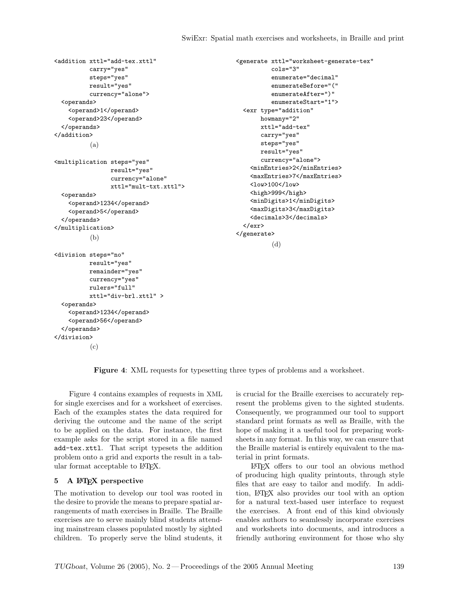enumerate="decimal" enumerateBefore="(" enumerateAfter=")" enumerateStart="1">

cols="3"

howmany="2" xttl="add-tex" carry="yes" steps="yes" result="yes" currency="alone"> <minEntries>2</minEntries> <maxEntries>7</maxEntries>

<low>100</low> <high>999</high>

(d)

<minDigits>1</minDigits> <maxDigits>3</maxDigits> <decimals>3</decimals>

```
<addition xttl="add-tex.xttl"
         carry="yes"
          steps="yes"
          result="yes"
          currency="alone">
  <operands>
    <operand>1</operand>
    <operand>23</operand>
  </operands>
</addition>
          (a)
<multiplication steps="yes"
                 result="yes"
                 currency="alone"
                 xttl="mult-txt.xttl">
  <operands>
    <operand>1234</operand>
    <operand>5</operand>
  </operands>
</multiplication>
          (b)
<division steps="no"
          result="yes"
          remainder="yes"
          currency="yes"
          rulers="full"
          xttl="div-brl.xttl" >
  <operands>
    <operand>1234</operand>
    <operand>56</operand>
  </operands>
</division>
                                                      <generate xttl="worksheet-generate-tex"
                                                        <exr type="addition"
                                                        \langle/exr>
                                                      </generate>
```
(c)

Figure 4: XML requests for typesetting three types of problems and a worksheet.

Figure 4 contains examples of requests in XML for single exercises and for a worksheet of exercises. Each of the examples states the data required for deriving the outcome and the name of the script to be applied on the data. For instance, the first example asks for the script stored in a file named add-tex.xttl. That script typesets the addition problem onto a grid and exports the result in a tabular format acceptable to LATEX.

#### 5 A LATEX perspective

The motivation to develop our tool was rooted in the desire to provide the means to prepare spatial arrangements of math exercises in Braille. The Braille exercises are to serve mainly blind students attending mainstream classes populated mostly by sighted children. To properly serve the blind students, it is crucial for the Braille exercises to accurately represent the problems given to the sighted students. Consequently, we programmed our tool to support standard print formats as well as Braille, with the hope of making it a useful tool for preparing worksheets in any format. In this way, we can ensure that the Braille material is entirely equivalent to the material in print formats.

LATEX offers to our tool an obvious method of producing high quality printouts, through style files that are easy to tailor and modify. In addition, LATEX also provides our tool with an option for a natural text-based user interface to request the exercises. A front end of this kind obviously enables authors to seamlessly incorporate exercises and worksheets into documents, and introduces a friendly authoring environment for those who shy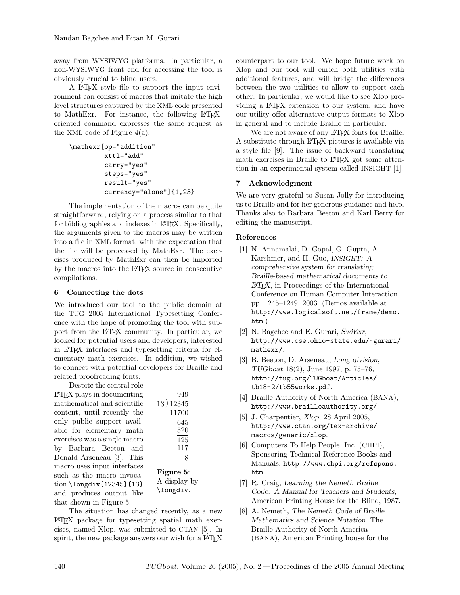away from WYSIWYG platforms. In particular, a non-WYSIWYG front end for accessing the tool is obviously crucial to blind users.

A LATEX style file to support the input environment can consist of macros that imitate the high level structures captured by the XML code presented to MathExr. For instance, the following LAT<sub>EX</sub>oriented command expresses the same request as the XML code of Figure 4(a).

```
\mathexr[op="addition"
         xttl="add"
         carry="yes"
         steps="yes"
         result="yes"
         currency="alone"]{1,23}
```
The implementation of the macros can be quite straightforward, relying on a process similar to that for bibliographies and indexes in LAT<sub>EX</sub>. Specifically, the arguments given to the macros may be written into a file in XML format, with the expectation that the file will be processed by MathExr. The exercises produced by MathExr can then be imported by the macros into the LATEX source in consecutive compilations.

### 6 Connecting the dots

We introduced our tool to the public domain at the TUG 2005 International Typesetting Conference with the hope of promoting the tool with support from the LATEX community. In particular, we looked for potential users and developers, interested in LATEX interfaces and typesetting criteria for elementary math exercises. In addition, we wished to connect with potential developers for Braille and related proofreading fonts.

Despite the central role LATEX plays in documenting mathematical and scientific content, until recently the only public support available for elementary math exercises was a single macro by Barbara Beeton and Donald Arseneau [3]. This macro uses input interfaces such as the macro invocation \longdiv{12345}{13} and produces output like that shown in Figure 5.

| 949               |
|-------------------|
| 13 ) 12345        |
| 11700             |
| 645               |
| 520               |
| 125               |
| 117               |
| $\mathsf{\Omega}$ |
| Figure 5:         |
|                   |
| A display by      |
| \longdiv.         |

The situation has changed recently, as a new LATEX package for typesetting spatial math exercises, named Xlop, was submitted to CTAN [5]. In spirit, the new package answers our wish for a LAT<sub>EX</sub> counterpart to our tool. We hope future work on Xlop and our tool will enrich both utilities with additional features, and will bridge the differences between the two utilities to allow to support each other. In particular, we would like to see Xlop providing a LATEX extension to our system, and have our utility offer alternative output formats to Xlop in general and to include Braille in particular.

We are not aware of any LAT<sub>EX</sub> fonts for Braille. A substitute through LATEX pictures is available via a style file [9]. The issue of backward translating math exercises in Braille to L<sup>AT</sup>FX got some attention in an experimental system called INSIGHT [1].

# 7 Acknowledgment

We are very grateful to Susan Jolly for introducing us to Braille and for her generous guidance and help. Thanks also to Barbara Beeton and Karl Berry for editing the manuscript.

### References

- [1] N. Annamalai, D. Gopal, G. Gupta, A. Karshmer, and H. Guo, INSIGHT: A comprehensive system for translating Braille-based mathematical documents to  $\angle$ *ET<sub>F</sub>X*, in Proceedings of the International Conference on Human Computer Interaction, pp. 1245–1249. 2003. (Demos available at http://www.logicalsoft.net/frame/demo. htm.)
- [2] N. Bagchee and E. Gurari, SwiExr, http://www.cse.ohio-state.edu/~gurari/ mathexr/.
- [3] B. Beeton, D. Arseneau, Long division, TUGboat 18(2), June 1997, p. 75–76, http://tug.org/TUGboat/Articles/ tb18-2/tb55works.pdf.
- [4] Braille Authority of North America (BANA), http://www.brailleauthority.org/.
- [5] J. Charpentier, Xlop, 28 April 2005, http://www.ctan.org/tex-archive/ macros/generic/xlop.
- [6] Computers To Help People, Inc. (CHPI), Sponsoring Technical Reference Books and Manuals, http://www.chpi.org/refspons. htm.
- [7] R. Craig, Learning the Nemeth Braille Code: A Manual for Teachers and Students, American Printing House for the Blind, 1987.
- [8] A. Nemeth, The Nemeth Code of Braille Mathematics and Science Notation. The Braille Authority of North America (BANA), American Printing house for the